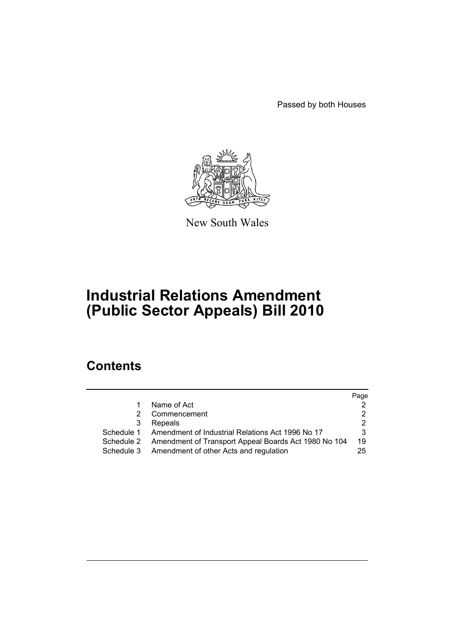Passed by both Houses



New South Wales

# **Industrial Relations Amendment (Public Sector Appeals) Bill 2010**

# **Contents**

|   |                                                                 | Page |
|---|-----------------------------------------------------------------|------|
| 1 | Name of Act                                                     |      |
| 2 | Commencement                                                    |      |
| 3 | Repeals                                                         | 2    |
|   | Schedule 1 Amendment of Industrial Relations Act 1996 No 17     | 3    |
|   | Schedule 2 Amendment of Transport Appeal Boards Act 1980 No 104 | 19   |
|   | Schedule 3 Amendment of other Acts and regulation               | 25   |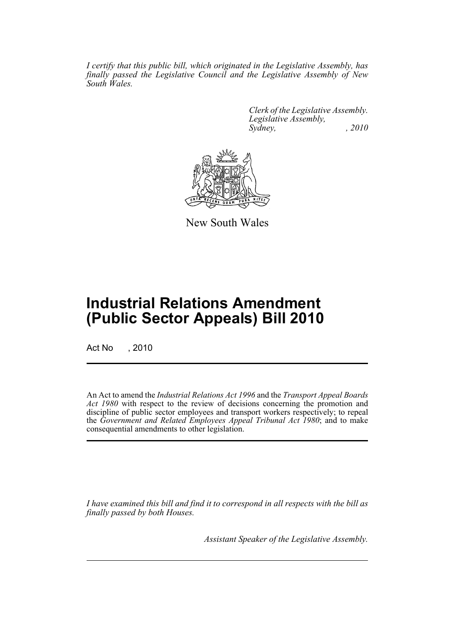*I certify that this public bill, which originated in the Legislative Assembly, has finally passed the Legislative Council and the Legislative Assembly of New South Wales.*

> *Clerk of the Legislative Assembly. Legislative Assembly, Sydney, , 2010*



New South Wales

# **Industrial Relations Amendment (Public Sector Appeals) Bill 2010**

Act No , 2010

An Act to amend the *Industrial Relations Act 1996* and the *Transport Appeal Boards* Act 1980 with respect to the review of decisions concerning the promotion and discipline of public sector employees and transport workers respectively; to repeal the *Government and Related Employees Appeal Tribunal Act 1980*; and to make consequential amendments to other legislation.

*I have examined this bill and find it to correspond in all respects with the bill as finally passed by both Houses.*

*Assistant Speaker of the Legislative Assembly.*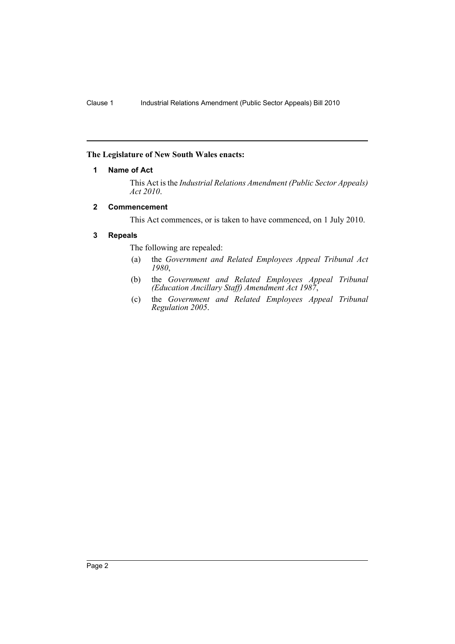# <span id="page-2-0"></span>**The Legislature of New South Wales enacts:**

# **1 Name of Act**

This Act is the *Industrial Relations Amendment (Public Sector Appeals) Act 2010*.

# <span id="page-2-1"></span>**2 Commencement**

This Act commences, or is taken to have commenced, on 1 July 2010.

# <span id="page-2-2"></span>**3 Repeals**

The following are repealed:

- (a) the *Government and Related Employees Appeal Tribunal Act 1980*,
- (b) the *Government and Related Employees Appeal Tribunal (Education Ancillary Staff) Amendment Act 1987*,
- (c) the *Government and Related Employees Appeal Tribunal Regulation 2005*.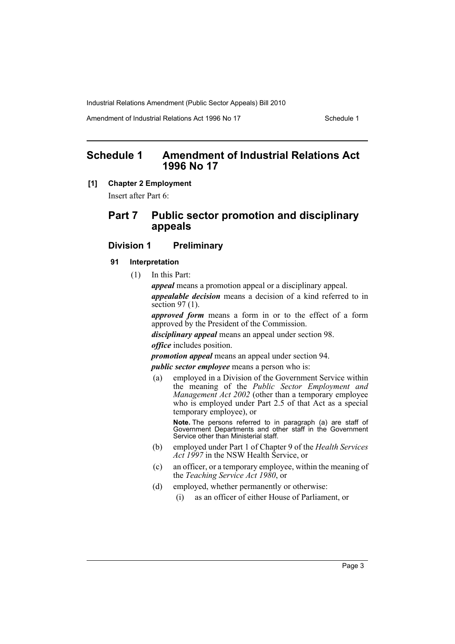Amendment of Industrial Relations Act 1996 No 17 Schedule 1

# <span id="page-3-0"></span>**Schedule 1 Amendment of Industrial Relations Act 1996 No 17**

# **[1] Chapter 2 Employment**

Insert after Part 6:

# **Part 7 Public sector promotion and disciplinary appeals**

# **Division 1 Preliminary**

### **91 Interpretation**

(1) In this Part:

*appeal* means a promotion appeal or a disciplinary appeal.

*appealable decision* means a decision of a kind referred to in section 97 (1).

*approved form* means a form in or to the effect of a form approved by the President of the Commission.

*disciplinary appeal* means an appeal under section 98.

*office* includes position.

*promotion appeal* means an appeal under section 94.

*public sector employee* means a person who is:

(a) employed in a Division of the Government Service within the meaning of the *Public Sector Employment and Management Act 2002* (other than a temporary employee who is employed under Part 2.5 of that Act as a special temporary employee), or

**Note.** The persons referred to in paragraph (a) are staff of Government Departments and other staff in the Government Service other than Ministerial staff.

- (b) employed under Part 1 of Chapter 9 of the *Health Services Act 1997* in the NSW Health Service, or
- (c) an officer, or a temporary employee, within the meaning of the *Teaching Service Act 1980*, or
- (d) employed, whether permanently or otherwise:
	- (i) as an officer of either House of Parliament, or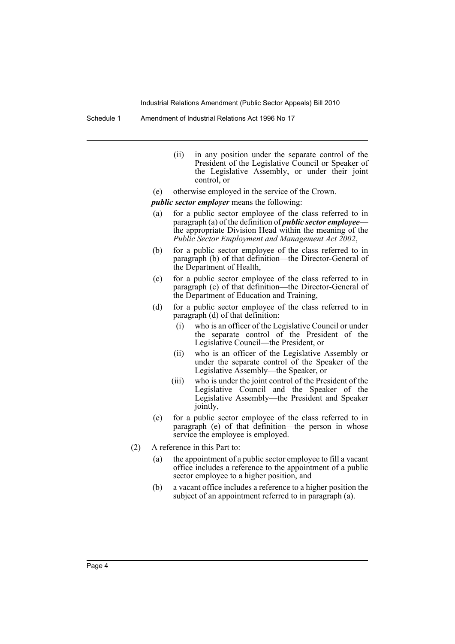Schedule 1 Amendment of Industrial Relations Act 1996 No 17

- (ii) in any position under the separate control of the President of the Legislative Council or Speaker of the Legislative Assembly, or under their joint control, or
- (e) otherwise employed in the service of the Crown.

*public sector employer* means the following:

- (a) for a public sector employee of the class referred to in paragraph (a) of the definition of *public sector employee* the appropriate Division Head within the meaning of the *Public Sector Employment and Management Act 2002*,
- (b) for a public sector employee of the class referred to in paragraph (b) of that definition—the Director-General of the Department of Health,
- (c) for a public sector employee of the class referred to in paragraph (c) of that definition—the Director-General of the Department of Education and Training,
- (d) for a public sector employee of the class referred to in paragraph (d) of that definition:
	- (i) who is an officer of the Legislative Council or under the separate control of the President of the Legislative Council—the President, or
	- (ii) who is an officer of the Legislative Assembly or under the separate control of the Speaker of the Legislative Assembly—the Speaker, or
	- (iii) who is under the joint control of the President of the Legislative Council and the Speaker of the Legislative Assembly—the President and Speaker jointly,
- (e) for a public sector employee of the class referred to in paragraph (e) of that definition—the person in whose service the employee is employed.
- (2) A reference in this Part to:
	- (a) the appointment of a public sector employee to fill a vacant office includes a reference to the appointment of a public sector employee to a higher position, and
	- (b) a vacant office includes a reference to a higher position the subject of an appointment referred to in paragraph (a).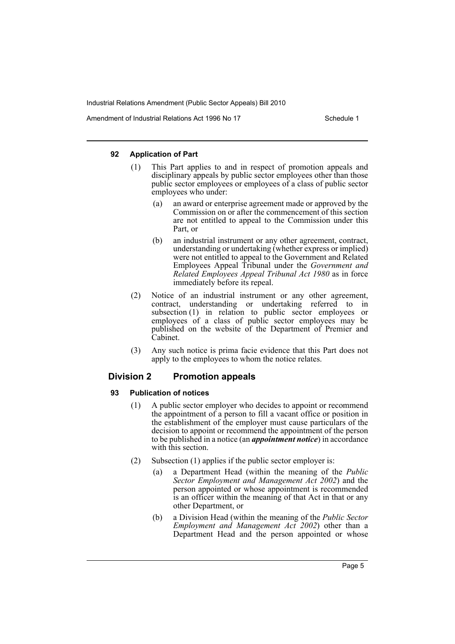Amendment of Industrial Relations Act 1996 No 17 Schedule 1

### **92 Application of Part**

- (1) This Part applies to and in respect of promotion appeals and disciplinary appeals by public sector employees other than those public sector employees or employees of a class of public sector employees who under:
	- (a) an award or enterprise agreement made or approved by the Commission on or after the commencement of this section are not entitled to appeal to the Commission under this Part, or
	- (b) an industrial instrument or any other agreement, contract, understanding or undertaking (whether express or implied) were not entitled to appeal to the Government and Related Employees Appeal Tribunal under the *Government and Related Employees Appeal Tribunal Act 1980* as in force immediately before its repeal.
- (2) Notice of an industrial instrument or any other agreement, contract, understanding or undertaking referred to in subsection (1) in relation to public sector employees or employees of a class of public sector employees may be published on the website of the Department of Premier and Cabinet.
- (3) Any such notice is prima facie evidence that this Part does not apply to the employees to whom the notice relates.

# **Division 2 Promotion appeals**

#### **93 Publication of notices**

- (1) A public sector employer who decides to appoint or recommend the appointment of a person to fill a vacant office or position in the establishment of the employer must cause particulars of the decision to appoint or recommend the appointment of the person to be published in a notice (an *appointment notice*) in accordance with this section.
- (2) Subsection (1) applies if the public sector employer is:
	- (a) a Department Head (within the meaning of the *Public Sector Employment and Management Act 2002*) and the person appointed or whose appointment is recommended is an officer within the meaning of that Act in that or any other Department, or
	- (b) a Division Head (within the meaning of the *Public Sector Employment and Management Act 2002*) other than a Department Head and the person appointed or whose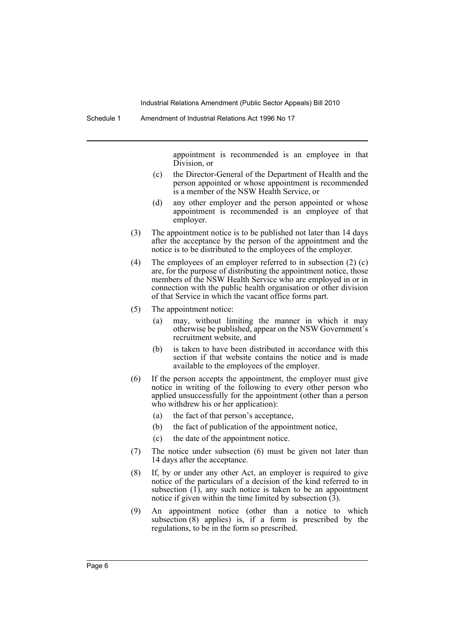appointment is recommended is an employee in that Division, or

- (c) the Director-General of the Department of Health and the person appointed or whose appointment is recommended is a member of the NSW Health Service, or
- (d) any other employer and the person appointed or whose appointment is recommended is an employee of that employer.
- (3) The appointment notice is to be published not later than 14 days after the acceptance by the person of the appointment and the notice is to be distributed to the employees of the employer.
- (4) The employees of an employer referred to in subsection (2) (c) are, for the purpose of distributing the appointment notice, those members of the NSW Health Service who are employed in or in connection with the public health organisation or other division of that Service in which the vacant office forms part.
- (5) The appointment notice:
	- (a) may, without limiting the manner in which it may otherwise be published, appear on the NSW Government's recruitment website, and
	- (b) is taken to have been distributed in accordance with this section if that website contains the notice and is made available to the employees of the employer.
- (6) If the person accepts the appointment, the employer must give notice in writing of the following to every other person who applied unsuccessfully for the appointment (other than a person who withdrew his or her application):
	- (a) the fact of that person's acceptance,
	- (b) the fact of publication of the appointment notice,
	- (c) the date of the appointment notice.
- (7) The notice under subsection (6) must be given not later than 14 days after the acceptance.
- (8) If, by or under any other Act, an employer is required to give notice of the particulars of a decision of the kind referred to in subsection (1), any such notice is taken to be an appointment notice if given within the time limited by subsection  $(\hat{3})$ .
- (9) An appointment notice (other than a notice to which subsection (8) applies) is, if a form is prescribed by the regulations, to be in the form so prescribed.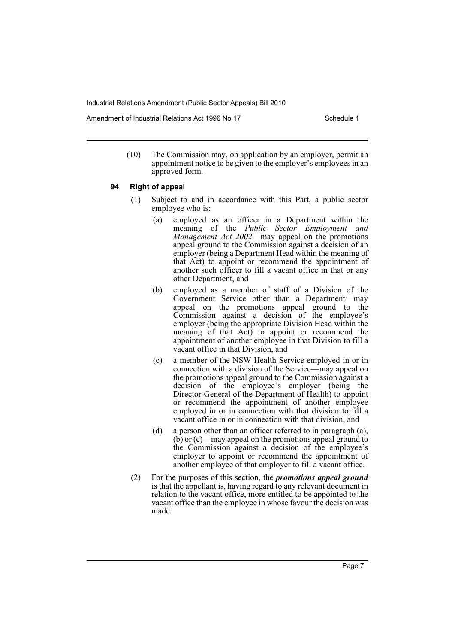Amendment of Industrial Relations Act 1996 No 17 Schedule 1

(10) The Commission may, on application by an employer, permit an appointment notice to be given to the employer's employees in an approved form.

### **94 Right of appeal**

- (1) Subject to and in accordance with this Part, a public sector employee who is:
	- (a) employed as an officer in a Department within the meaning of the *Public Sector Employment and Management Act 2002*—may appeal on the promotions appeal ground to the Commission against a decision of an employer (being a Department Head within the meaning of that Act) to appoint or recommend the appointment of another such officer to fill a vacant office in that or any other Department, and
	- (b) employed as a member of staff of a Division of the Government Service other than a Department—may appeal on the promotions appeal ground to the Commission against a decision of the employee's employer (being the appropriate Division Head within the meaning of that Act) to appoint or recommend the appointment of another employee in that Division to fill a vacant office in that Division, and
	- (c) a member of the NSW Health Service employed in or in connection with a division of the Service—may appeal on the promotions appeal ground to the Commission against a decision of the employee's employer (being the Director-General of the Department of Health) to appoint or recommend the appointment of another employee employed in or in connection with that division to fill a vacant office in or in connection with that division, and
	- (d) a person other than an officer referred to in paragraph (a), (b) or (c)—may appeal on the promotions appeal ground to the Commission against a decision of the employee's employer to appoint or recommend the appointment of another employee of that employer to fill a vacant office.
- (2) For the purposes of this section, the *promotions appeal ground* is that the appellant is, having regard to any relevant document in relation to the vacant office, more entitled to be appointed to the vacant office than the employee in whose favour the decision was made.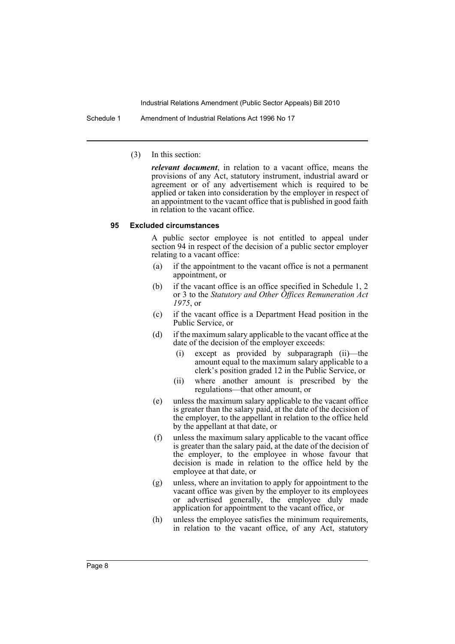Schedule 1 Amendment of Industrial Relations Act 1996 No 17

(3) In this section:

*relevant document*, in relation to a vacant office, means the provisions of any Act, statutory instrument, industrial award or agreement or of any advertisement which is required to be applied or taken into consideration by the employer in respect of an appointment to the vacant office that is published in good faith in relation to the vacant office.

#### **95 Excluded circumstances**

A public sector employee is not entitled to appeal under section 94 in respect of the decision of a public sector employer relating to a vacant office:

- (a) if the appointment to the vacant office is not a permanent appointment, or
- (b) if the vacant office is an office specified in Schedule 1, 2 or 3 to the *Statutory and Other Offices Remuneration Act 1975*, or
- (c) if the vacant office is a Department Head position in the Public Service, or
- (d) if the maximum salary applicable to the vacant office at the date of the decision of the employer exceeds:
	- (i) except as provided by subparagraph (ii)—the amount equal to the maximum salary applicable to a clerk's position graded 12 in the Public Service, or
	- (ii) where another amount is prescribed by the regulations—that other amount, or
- (e) unless the maximum salary applicable to the vacant office is greater than the salary paid, at the date of the decision of the employer, to the appellant in relation to the office held by the appellant at that date, or
- (f) unless the maximum salary applicable to the vacant office is greater than the salary paid, at the date of the decision of the employer, to the employee in whose favour that decision is made in relation to the office held by the employee at that date, or
- (g) unless, where an invitation to apply for appointment to the vacant office was given by the employer to its employees or advertised generally, the employee duly made application for appointment to the vacant office, or
- (h) unless the employee satisfies the minimum requirements, in relation to the vacant office, of any Act, statutory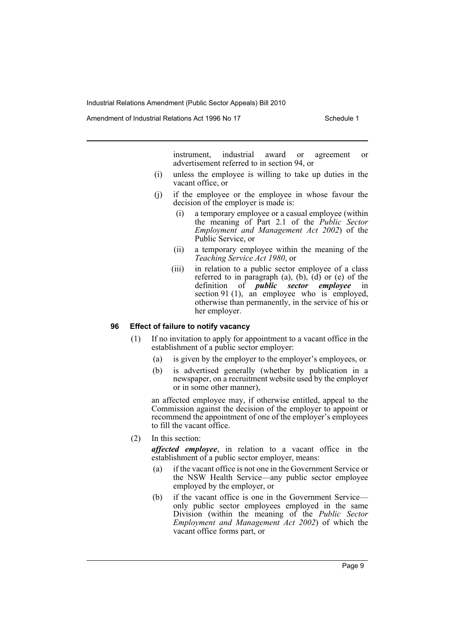Amendment of Industrial Relations Act 1996 No 17 Schedule 1

instrument, industrial award or agreement or advertisement referred to in section 94, or

- (i) unless the employee is willing to take up duties in the vacant office, or
- (j) if the employee or the employee in whose favour the decision of the employer is made is:
	- (i) a temporary employee or a casual employee (within the meaning of Part 2.1 of the *Public Sector Employment and Management Act 2002*) of the Public Service, or
	- (ii) a temporary employee within the meaning of the *Teaching Service Act 1980*, or
	- (iii) in relation to a public sector employee of a class referred to in paragraph  $(a)$ ,  $(b)$ ,  $(d)$  or  $(e)$  of the definition of *public sector employee* in section 91 (1), an employee who is employed, otherwise than permanently, in the service of his or her employer.

# **96 Effect of failure to notify vacancy**

- (1) If no invitation to apply for appointment to a vacant office in the establishment of a public sector employer:
	- (a) is given by the employer to the employer's employees, or
	- (b) is advertised generally (whether by publication in a newspaper, on a recruitment website used by the employer or in some other manner),

an affected employee may, if otherwise entitled, appeal to the Commission against the decision of the employer to appoint or recommend the appointment of one of the employer's employees to fill the vacant office.

(2) In this section:

*affected employee*, in relation to a vacant office in the establishment of a public sector employer, means:

- (a) if the vacant office is not one in the Government Service or the NSW Health Service—any public sector employee employed by the employer, or
- (b) if the vacant office is one in the Government Service only public sector employees employed in the same Division (within the meaning of the *Public Sector Employment and Management Act 2002*) of which the vacant office forms part, or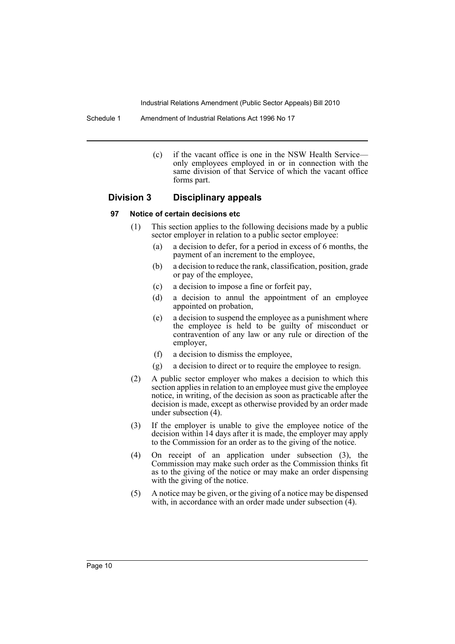Schedule 1 Amendment of Industrial Relations Act 1996 No 17

(c) if the vacant office is one in the NSW Health Service only employees employed in or in connection with the same division of that Service of which the vacant office forms part.

# **Division 3 Disciplinary appeals**

#### **97 Notice of certain decisions etc**

- (1) This section applies to the following decisions made by a public sector employer in relation to a public sector employee:
	- (a) a decision to defer, for a period in excess of 6 months, the payment of an increment to the employee,
	- (b) a decision to reduce the rank, classification, position, grade or pay of the employee,
	- (c) a decision to impose a fine or forfeit pay,
	- (d) a decision to annul the appointment of an employee appointed on probation,
	- (e) a decision to suspend the employee as a punishment where the employee is held to be guilty of misconduct or contravention of any law or any rule or direction of the employer,
	- (f) a decision to dismiss the employee,
	- (g) a decision to direct or to require the employee to resign.
- (2) A public sector employer who makes a decision to which this section applies in relation to an employee must give the employee notice, in writing, of the decision as soon as practicable after the decision is made, except as otherwise provided by an order made under subsection (4).
- (3) If the employer is unable to give the employee notice of the decision within 14 days after it is made, the employer may apply to the Commission for an order as to the giving of the notice.
- (4) On receipt of an application under subsection (3), the Commission may make such order as the Commission thinks fit as to the giving of the notice or may make an order dispensing with the giving of the notice.
- (5) A notice may be given, or the giving of a notice may be dispensed with, in accordance with an order made under subsection  $(4)$ .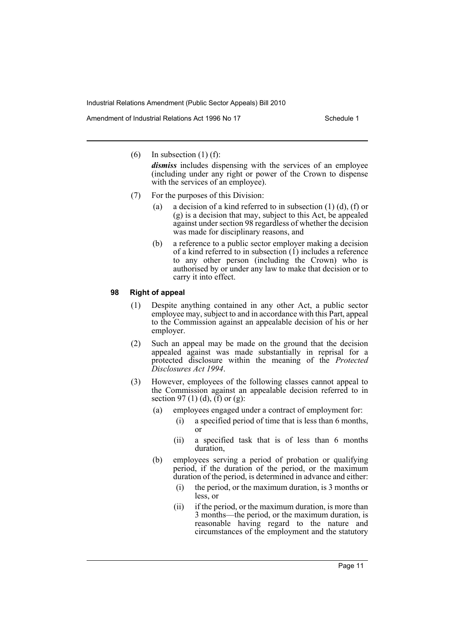Amendment of Industrial Relations Act 1996 No 17 Schedule 1

(6) In subsection (1) (f):

*dismiss* includes dispensing with the services of an employee (including under any right or power of the Crown to dispense with the services of an employee).

- (7) For the purposes of this Division:
	- (a) a decision of a kind referred to in subsection (1) (d), (f) or (g) is a decision that may, subject to this Act, be appealed against under section 98 regardless of whether the decision was made for disciplinary reasons, and
	- (b) a reference to a public sector employer making a decision of a kind referred to in subsection (1) includes a reference to any other person (including the Crown) who is authorised by or under any law to make that decision or to carry it into effect.

#### **98 Right of appeal**

- (1) Despite anything contained in any other Act, a public sector employee may, subject to and in accordance with this Part, appeal to the Commission against an appealable decision of his or her employer.
- (2) Such an appeal may be made on the ground that the decision appealed against was made substantially in reprisal for a protected disclosure within the meaning of the *Protected Disclosures Act 1994*.
- (3) However, employees of the following classes cannot appeal to the Commission against an appealable decision referred to in section 97 (1) (d), (f) or (g):
	- (a) employees engaged under a contract of employment for:
		- (i) a specified period of time that is less than 6 months, or
		- (ii) a specified task that is of less than 6 months duration,
	- (b) employees serving a period of probation or qualifying period, if the duration of the period, or the maximum duration of the period, is determined in advance and either:
		- (i) the period, or the maximum duration, is 3 months or less, or
		- (ii) if the period, or the maximum duration, is more than 3 months—the period, or the maximum duration, is reasonable having regard to the nature and circumstances of the employment and the statutory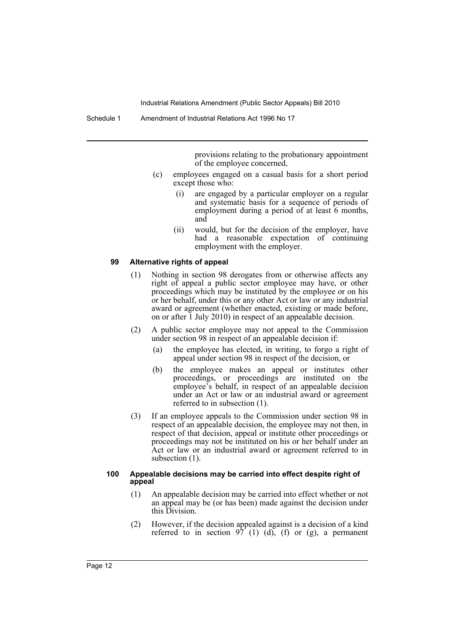provisions relating to the probationary appointment of the employee concerned,

- (c) employees engaged on a casual basis for a short period except those who:
	- (i) are engaged by a particular employer on a regular and systematic basis for a sequence of periods of employment during a period of at least 6 months, and
	- (ii) would, but for the decision of the employer, have had a reasonable expectation of continuing employment with the employer.

#### **99 Alternative rights of appeal**

- (1) Nothing in section 98 derogates from or otherwise affects any right of appeal a public sector employee may have, or other proceedings which may be instituted by the employee or on his or her behalf, under this or any other Act or law or any industrial award or agreement (whether enacted, existing or made before, on or after 1 July 2010) in respect of an appealable decision.
- (2) A public sector employee may not appeal to the Commission under section 98 in respect of an appealable decision if:
	- (a) the employee has elected, in writing, to forgo a right of appeal under section 98 in respect of the decision, or
	- (b) the employee makes an appeal or institutes other proceedings, or proceedings are instituted on the employee's behalf, in respect of an appealable decision under an Act or law or an industrial award or agreement referred to in subsection (1).
- (3) If an employee appeals to the Commission under section 98 in respect of an appealable decision, the employee may not then, in respect of that decision, appeal or institute other proceedings or proceedings may not be instituted on his or her behalf under an Act or law or an industrial award or agreement referred to in subsection  $(1)$ .

#### **100 Appealable decisions may be carried into effect despite right of appeal**

- (1) An appealable decision may be carried into effect whether or not an appeal may be (or has been) made against the decision under this Division.
- (2) However, if the decision appealed against is a decision of a kind referred to in section  $97(1)$  (d), (f) or (g), a permanent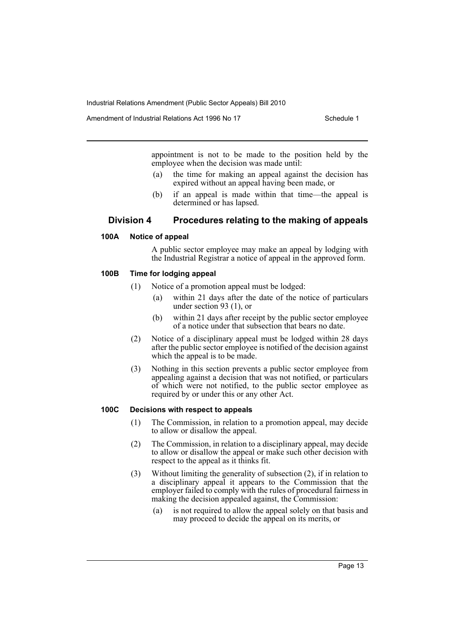Amendment of Industrial Relations Act 1996 No 17 Schedule 1

appointment is not to be made to the position held by the employee when the decision was made until:

- (a) the time for making an appeal against the decision has expired without an appeal having been made, or
- (b) if an appeal is made within that time—the appeal is determined or has lapsed.

# **Division 4 Procedures relating to the making of appeals**

#### **100A Notice of appeal**

A public sector employee may make an appeal by lodging with the Industrial Registrar a notice of appeal in the approved form.

# **100B Time for lodging appeal**

- (1) Notice of a promotion appeal must be lodged:
	- within 21 days after the date of the notice of particulars under section 93 (1), or
	- (b) within 21 days after receipt by the public sector employee of a notice under that subsection that bears no date.
- (2) Notice of a disciplinary appeal must be lodged within 28 days after the public sector employee is notified of the decision against which the appeal is to be made.
- (3) Nothing in this section prevents a public sector employee from appealing against a decision that was not notified, or particulars of which were not notified, to the public sector employee as required by or under this or any other Act.

# **100C Decisions with respect to appeals**

- (1) The Commission, in relation to a promotion appeal, may decide to allow or disallow the appeal.
- (2) The Commission, in relation to a disciplinary appeal, may decide to allow or disallow the appeal or make such other decision with respect to the appeal as it thinks fit.
- (3) Without limiting the generality of subsection (2), if in relation to a disciplinary appeal it appears to the Commission that the employer failed to comply with the rules of procedural fairness in making the decision appealed against, the Commission:
	- (a) is not required to allow the appeal solely on that basis and may proceed to decide the appeal on its merits, or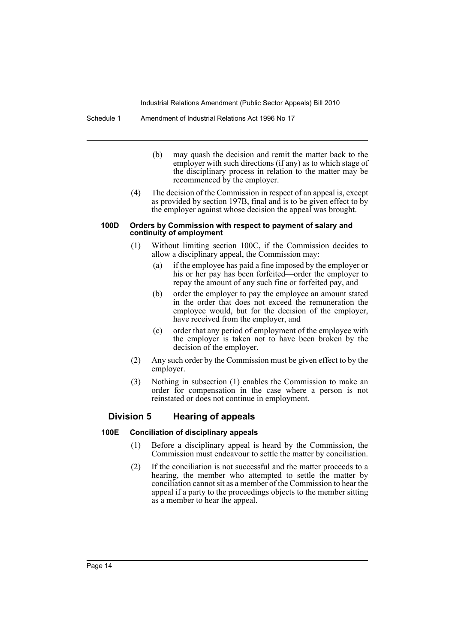Schedule 1 Amendment of Industrial Relations Act 1996 No 17

- (b) may quash the decision and remit the matter back to the employer with such directions (if any) as to which stage of the disciplinary process in relation to the matter may be recommenced by the employer.
- (4) The decision of the Commission in respect of an appeal is, except as provided by section 197B, final and is to be given effect to by the employer against whose decision the appeal was brought.

#### **100D Orders by Commission with respect to payment of salary and continuity of employment**

- (1) Without limiting section 100C, if the Commission decides to allow a disciplinary appeal, the Commission may:
	- (a) if the employee has paid a fine imposed by the employer or his or her pay has been forfeited—order the employer to repay the amount of any such fine or forfeited pay, and
	- (b) order the employer to pay the employee an amount stated in the order that does not exceed the remuneration the employee would, but for the decision of the employer, have received from the employer, and
	- (c) order that any period of employment of the employee with the employer is taken not to have been broken by the decision of the employer.
- (2) Any such order by the Commission must be given effect to by the employer.
- (3) Nothing in subsection (1) enables the Commission to make an order for compensation in the case where a person is not reinstated or does not continue in employment.

# **Division 5 Hearing of appeals**

# **100E Conciliation of disciplinary appeals**

- (1) Before a disciplinary appeal is heard by the Commission, the Commission must endeavour to settle the matter by conciliation.
- (2) If the conciliation is not successful and the matter proceeds to a hearing, the member who attempted to settle the matter by conciliation cannot sit as a member of the Commission to hear the appeal if a party to the proceedings objects to the member sitting as a member to hear the appeal.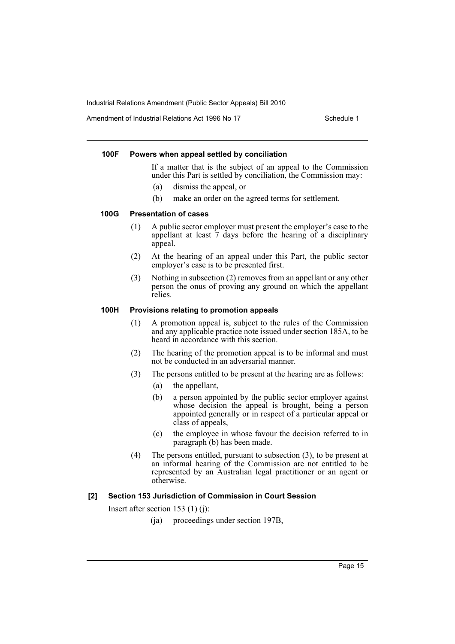Amendment of Industrial Relations Act 1996 No 17 Schedule 1

#### **100F Powers when appeal settled by conciliation**

If a matter that is the subject of an appeal to the Commission under this Part is settled by conciliation, the Commission may:

- (a) dismiss the appeal, or
- (b) make an order on the agreed terms for settlement.

# **100G Presentation of cases**

- (1) A public sector employer must present the employer's case to the appellant at least 7 days before the hearing of a disciplinary appeal.
- (2) At the hearing of an appeal under this Part, the public sector employer's case is to be presented first.
- (3) Nothing in subsection (2) removes from an appellant or any other person the onus of proving any ground on which the appellant relies.

# **100H Provisions relating to promotion appeals**

- (1) A promotion appeal is, subject to the rules of the Commission and any applicable practice note issued under section 185A, to be heard in accordance with this section.
- (2) The hearing of the promotion appeal is to be informal and must not be conducted in an adversarial manner.
- (3) The persons entitled to be present at the hearing are as follows:
	- (a) the appellant,
	- (b) a person appointed by the public sector employer against whose decision the appeal is brought, being a person appointed generally or in respect of a particular appeal or class of appeals,
	- (c) the employee in whose favour the decision referred to in paragraph (b) has been made.
- (4) The persons entitled, pursuant to subsection (3), to be present at an informal hearing of the Commission are not entitled to be represented by an Australian legal practitioner or an agent or otherwise.

# **[2] Section 153 Jurisdiction of Commission in Court Session**

Insert after section 153 (1) (j):

(ja) proceedings under section 197B,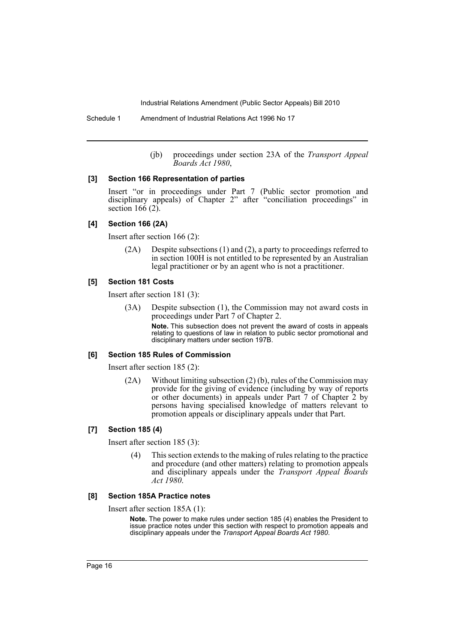Schedule 1 Amendment of Industrial Relations Act 1996 No 17

(jb) proceedings under section 23A of the *Transport Appeal Boards Act 1980*,

#### **[3] Section 166 Representation of parties**

Insert "or in proceedings under Part 7 (Public sector promotion and disciplinary appeals) of Chapter 2" after "conciliation proceedings" in section  $166(2)$ .

#### **[4] Section 166 (2A)**

Insert after section 166 (2):

(2A) Despite subsections (1) and (2), a party to proceedings referred to in section 100H is not entitled to be represented by an Australian legal practitioner or by an agent who is not a practitioner.

# **[5] Section 181 Costs**

Insert after section 181 (3):

(3A) Despite subsection (1), the Commission may not award costs in proceedings under Part 7 of Chapter 2.

> **Note.** This subsection does not prevent the award of costs in appeals relating to questions of law in relation to public sector promotional and disciplinary matters under section 197B.

#### **[6] Section 185 Rules of Commission**

Insert after section 185 (2):

(2A) Without limiting subsection (2) (b), rules of the Commission may provide for the giving of evidence (including by way of reports or other documents) in appeals under Part 7 of Chapter 2 by persons having specialised knowledge of matters relevant to promotion appeals or disciplinary appeals under that Part.

#### **[7] Section 185 (4)**

Insert after section 185 (3):

(4) This section extends to the making of rules relating to the practice and procedure (and other matters) relating to promotion appeals and disciplinary appeals under the *Transport Appeal Boards Act 1980*.

## **[8] Section 185A Practice notes**

Insert after section 185A (1):

**Note.** The power to make rules under section 185 (4) enables the President to issue practice notes under this section with respect to promotion appeals and disciplinary appeals under the *Transport Appeal Boards Act 1980*.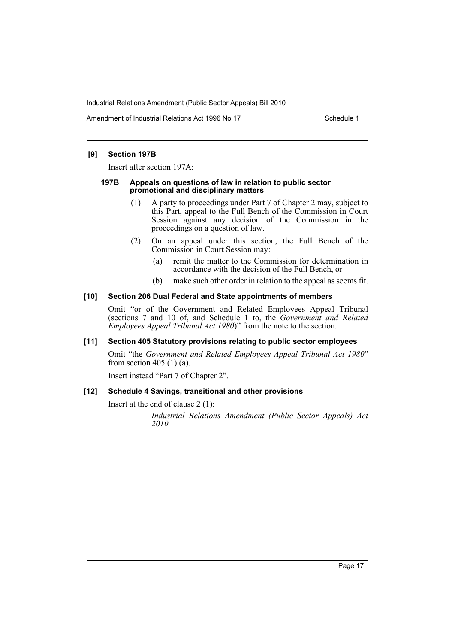Amendment of Industrial Relations Act 1996 No 17 Schedule 1

#### **[9] Section 197B**

Insert after section 197A:

#### **197B Appeals on questions of law in relation to public sector promotional and disciplinary matters**

- (1) A party to proceedings under Part 7 of Chapter 2 may, subject to this Part, appeal to the Full Bench of the Commission in Court Session against any decision of the Commission in the proceedings on a question of law.
- (2) On an appeal under this section, the Full Bench of the Commission in Court Session may:
	- (a) remit the matter to the Commission for determination in accordance with the decision of the Full Bench, or
	- (b) make such other order in relation to the appeal as seems fit.

# **[10] Section 206 Dual Federal and State appointments of members**

Omit "or of the Government and Related Employees Appeal Tribunal (sections 7 and 10 of, and Schedule 1 to, the *Government and Related Employees Appeal Tribunal Act 1980*)" from the note to the section.

#### **[11] Section 405 Statutory provisions relating to public sector employees**

Omit "the *Government and Related Employees Appeal Tribunal Act 1980*" from section 405 (1) (a).

Insert instead "Part 7 of Chapter 2".

# **[12] Schedule 4 Savings, transitional and other provisions**

Insert at the end of clause 2 (1):

*Industrial Relations Amendment (Public Sector Appeals) Act 2010*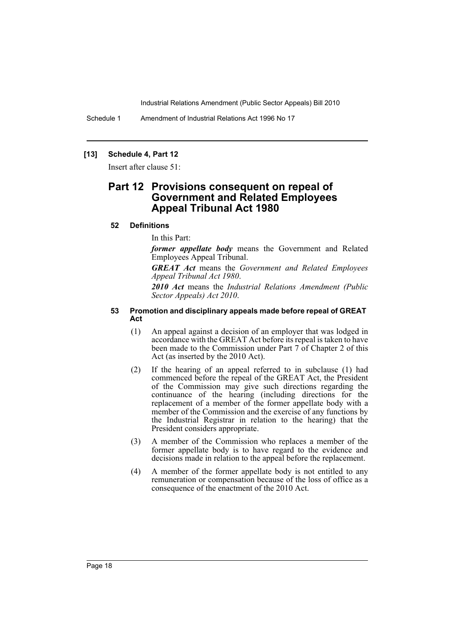Schedule 1 Amendment of Industrial Relations Act 1996 No 17

## **[13] Schedule 4, Part 12**

Insert after clause 51:

# **Part 12 Provisions consequent on repeal of Government and Related Employees Appeal Tribunal Act 1980**

#### **52 Definitions**

In this Part:

*former appellate body* means the Government and Related Employees Appeal Tribunal.

*GREAT Act* means the *Government and Related Employees Appeal Tribunal Act 1980*.

*2010 Act* means the *Industrial Relations Amendment (Public Sector Appeals) Act 2010*.

#### **53 Promotion and disciplinary appeals made before repeal of GREAT Act**

- (1) An appeal against a decision of an employer that was lodged in accordance with the GREAT Act before its repeal is taken to have been made to the Commission under Part 7 of Chapter 2 of this Act (as inserted by the 2010 Act).
- (2) If the hearing of an appeal referred to in subclause (1) had commenced before the repeal of the GREAT Act, the President of the Commission may give such directions regarding the continuance of the hearing (including directions for the replacement of a member of the former appellate body with a member of the Commission and the exercise of any functions by the Industrial Registrar in relation to the hearing) that the President considers appropriate.
- (3) A member of the Commission who replaces a member of the former appellate body is to have regard to the evidence and decisions made in relation to the appeal before the replacement.
- (4) A member of the former appellate body is not entitled to any remuneration or compensation because of the loss of office as a consequence of the enactment of the 2010 Act.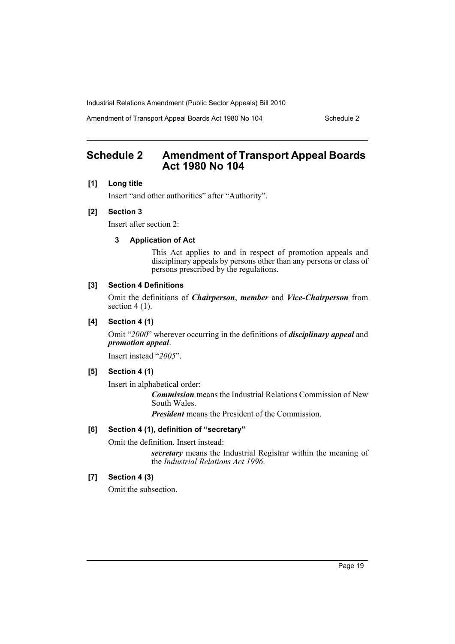Amendment of Transport Appeal Boards Act 1980 No 104 Schedule 2

# <span id="page-19-0"></span>**Schedule 2 Amendment of Transport Appeal Boards Act 1980 No 104**

### **[1] Long title**

Insert "and other authorities" after "Authority".

# **[2] Section 3**

Insert after section 2:

# **3 Application of Act**

This Act applies to and in respect of promotion appeals and disciplinary appeals by persons other than any persons or class of persons prescribed by the regulations.

# **[3] Section 4 Definitions**

Omit the definitions of *Chairperson*, *member* and *Vice-Chairperson* from section  $4(1)$ .

# **[4] Section 4 (1)**

Omit "*2000*" wherever occurring in the definitions of *disciplinary appeal* and *promotion appeal*.

Insert instead "*2005*".

### **[5] Section 4 (1)**

Insert in alphabetical order:

*Commission* means the Industrial Relations Commission of New South Wales.

*President* means the President of the Commission.

### **[6] Section 4 (1), definition of "secretary"**

Omit the definition. Insert instead:

*secretary* means the Industrial Registrar within the meaning of the *Industrial Relations Act 1996*.

# **[7] Section 4 (3)**

Omit the subsection.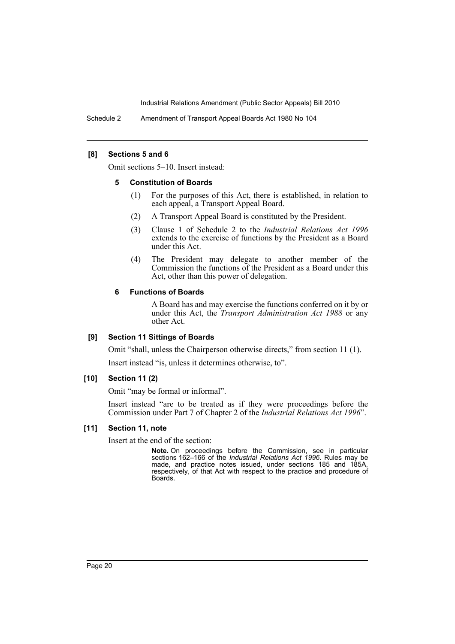Schedule 2 Amendment of Transport Appeal Boards Act 1980 No 104

#### **[8] Sections 5 and 6**

Omit sections 5–10. Insert instead:

#### **5 Constitution of Boards**

- (1) For the purposes of this Act, there is established, in relation to each appeal, a Transport Appeal Board.
- (2) A Transport Appeal Board is constituted by the President.
- (3) Clause 1 of Schedule 2 to the *Industrial Relations Act 1996* extends to the exercise of functions by the President as a Board under this Act.
- (4) The President may delegate to another member of the Commission the functions of the President as a Board under this Act, other than this power of delegation.

#### **6 Functions of Boards**

A Board has and may exercise the functions conferred on it by or under this Act, the *Transport Administration Act 1988* or any other Act.

#### **[9] Section 11 Sittings of Boards**

Omit "shall, unless the Chairperson otherwise directs," from section 11 (1). Insert instead "is, unless it determines otherwise, to".

# **[10] Section 11 (2)**

Omit "may be formal or informal".

Insert instead "are to be treated as if they were proceedings before the Commission under Part 7 of Chapter 2 of the *Industrial Relations Act 1996*".

#### **[11] Section 11, note**

Insert at the end of the section:

**Note.** On proceedings before the Commission, see in particular sections 162–166 of the *Industrial Relations Act 1996*. Rules may be made, and practice notes issued, under sections 185 and 185A, respectively, of that Act with respect to the practice and procedure of Boards.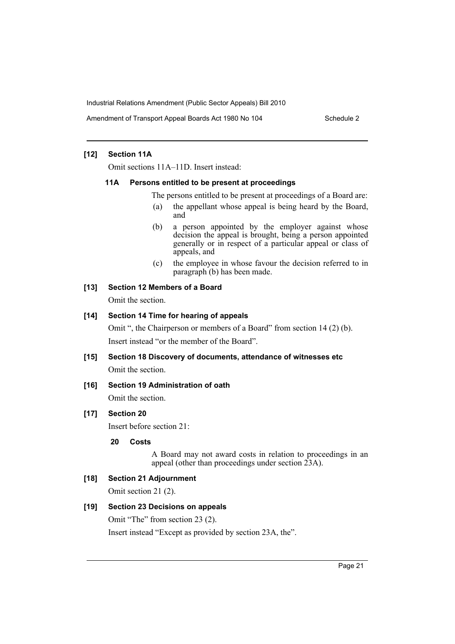Amendment of Transport Appeal Boards Act 1980 No 104 Schedule 2

# **[12] Section 11A**

Omit sections 11A–11D. Insert instead:

#### **11A Persons entitled to be present at proceedings**

The persons entitled to be present at proceedings of a Board are:

- (a) the appellant whose appeal is being heard by the Board, and
- (b) a person appointed by the employer against whose decision the appeal is brought, being a person appointed generally or in respect of a particular appeal or class of appeals, and
- (c) the employee in whose favour the decision referred to in paragraph (b) has been made.

### **[13] Section 12 Members of a Board**

Omit the section.

# **[14] Section 14 Time for hearing of appeals**

Omit ", the Chairperson or members of a Board" from section 14 (2) (b). Insert instead "or the member of the Board".

**[15] Section 18 Discovery of documents, attendance of witnesses etc** Omit the section.

# **[16] Section 19 Administration of oath**

Omit the section.

# **[17] Section 20**

Insert before section 21:

# **20 Costs**

A Board may not award costs in relation to proceedings in an appeal (other than proceedings under section 23A).

# **[18] Section 21 Adjournment**

Omit section 21 (2).

#### **[19] Section 23 Decisions on appeals**

Omit "The" from section 23 (2). Insert instead "Except as provided by section 23A, the".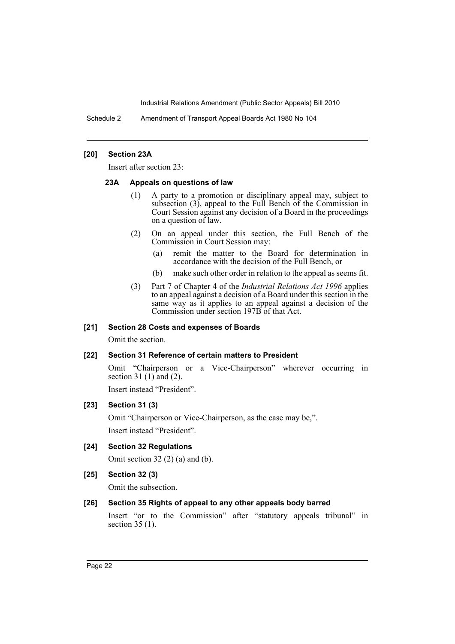Schedule 2 Amendment of Transport Appeal Boards Act 1980 No 104

#### **[20] Section 23A**

Insert after section 23:

#### **23A Appeals on questions of law**

- (1) A party to a promotion or disciplinary appeal may, subject to subsection (3), appeal to the Full Bench of the Commission in Court Session against any decision of a Board in the proceedings on a question of law.
- (2) On an appeal under this section, the Full Bench of the Commission in Court Session may:
	- (a) remit the matter to the Board for determination in accordance with the decision of the Full Bench, or
	- (b) make such other order in relation to the appeal as seems fit.
- (3) Part 7 of Chapter 4 of the *Industrial Relations Act 1996* applies to an appeal against a decision of a Board under this section in the same way as it applies to an appeal against a decision of the Commission under section 197B of that Act.

#### **[21] Section 28 Costs and expenses of Boards**

Omit the section.

# **[22] Section 31 Reference of certain matters to President**

Omit "Chairperson or a Vice-Chairperson" wherever occurring in section 31 $(1)$  and  $(2)$ .

Insert instead "President".

# **[23] Section 31 (3)**

Omit "Chairperson or Vice-Chairperson, as the case may be,". Insert instead "President".

**[24] Section 32 Regulations**

Omit section 32 (2) (a) and (b).

**[25] Section 32 (3)**

Omit the subsection.

#### **[26] Section 35 Rights of appeal to any other appeals body barred**

Insert "or to the Commission" after "statutory appeals tribunal" in section 35 (1).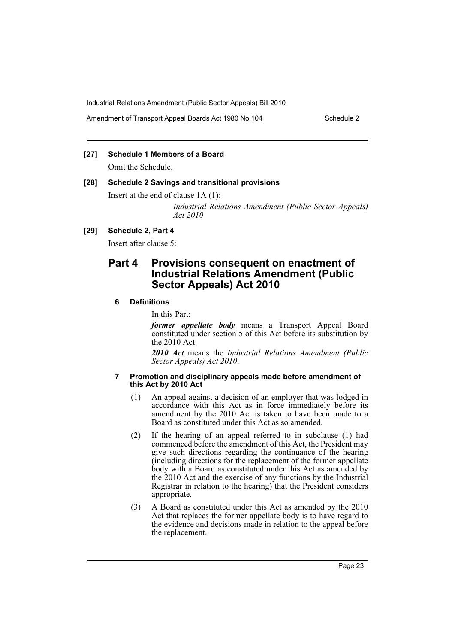Amendment of Transport Appeal Boards Act 1980 No 104 Schedule 2

# **[27] Schedule 1 Members of a Board**

Omit the Schedule.

### **[28] Schedule 2 Savings and transitional provisions**

Insert at the end of clause 1A (1):

*Industrial Relations Amendment (Public Sector Appeals) Act 2010*

# **[29] Schedule 2, Part 4**

Insert after clause 5:

# **Part 4 Provisions consequent on enactment of Industrial Relations Amendment (Public Sector Appeals) Act 2010**

# **6 Definitions**

In this Part:

*former appellate body* means a Transport Appeal Board constituted under section 5 of this Act before its substitution by the 2010 Act.

*2010 Act* means the *Industrial Relations Amendment (Public Sector Appeals) Act 2010*.

#### **7 Promotion and disciplinary appeals made before amendment of this Act by 2010 Act**

- (1) An appeal against a decision of an employer that was lodged in accordance with this Act as in force immediately before its amendment by the 2010 Act is taken to have been made to a Board as constituted under this Act as so amended.
- (2) If the hearing of an appeal referred to in subclause (1) had commenced before the amendment of this Act, the President may give such directions regarding the continuance of the hearing (including directions for the replacement of the former appellate body with a Board as constituted under this Act as amended by the 2010 Act and the exercise of any functions by the Industrial Registrar in relation to the hearing) that the President considers appropriate.
- (3) A Board as constituted under this Act as amended by the 2010 Act that replaces the former appellate body is to have regard to the evidence and decisions made in relation to the appeal before the replacement.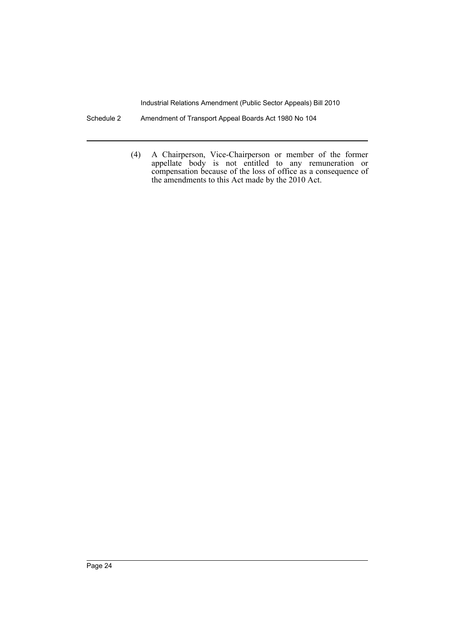- Schedule 2 Amendment of Transport Appeal Boards Act 1980 No 104
	- (4) A Chairperson, Vice-Chairperson or member of the former appellate body is not entitled to any remuneration or compensation because of the loss of office as a consequence of the amendments to this Act made by the 2010 Act.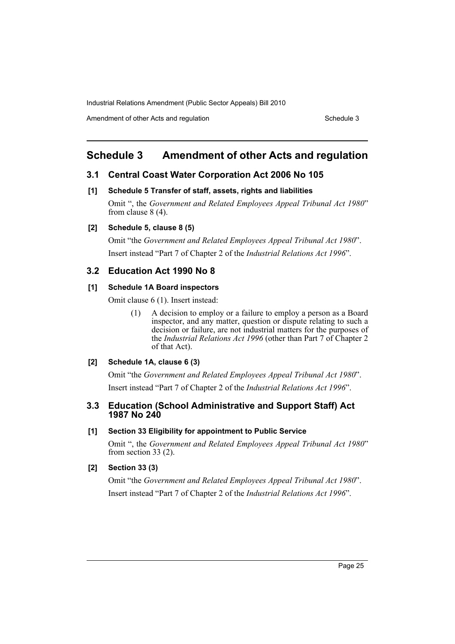Amendment of other Acts and regulation Schedule 3

# <span id="page-25-0"></span>**Schedule 3 Amendment of other Acts and regulation**

# **3.1 Central Coast Water Corporation Act 2006 No 105**

#### **[1] Schedule 5 Transfer of staff, assets, rights and liabilities**

Omit ", the *Government and Related Employees Appeal Tribunal Act 1980*" from clause 8 (4).

# **[2] Schedule 5, clause 8 (5)**

Omit "the *Government and Related Employees Appeal Tribunal Act 1980*". Insert instead "Part 7 of Chapter 2 of the *Industrial Relations Act 1996*".

### **3.2 Education Act 1990 No 8**

### **[1] Schedule 1A Board inspectors**

Omit clause 6 (1). Insert instead:

(1) A decision to employ or a failure to employ a person as a Board inspector, and any matter, question or dispute relating to such a decision or failure, are not industrial matters for the purposes of the *Industrial Relations Act 1996* (other than Part 7 of Chapter 2 of that Act).

#### **[2] Schedule 1A, clause 6 (3)**

Omit "the *Government and Related Employees Appeal Tribunal Act 1980*". Insert instead "Part 7 of Chapter 2 of the *Industrial Relations Act 1996*".

# **3.3 Education (School Administrative and Support Staff) Act 1987 No 240**

### **[1] Section 33 Eligibility for appointment to Public Service**

Omit ", the *Government and Related Employees Appeal Tribunal Act 1980*" from section 33 (2).

### **[2] Section 33 (3)**

Omit "the *Government and Related Employees Appeal Tribunal Act 1980*". Insert instead "Part 7 of Chapter 2 of the *Industrial Relations Act 1996*".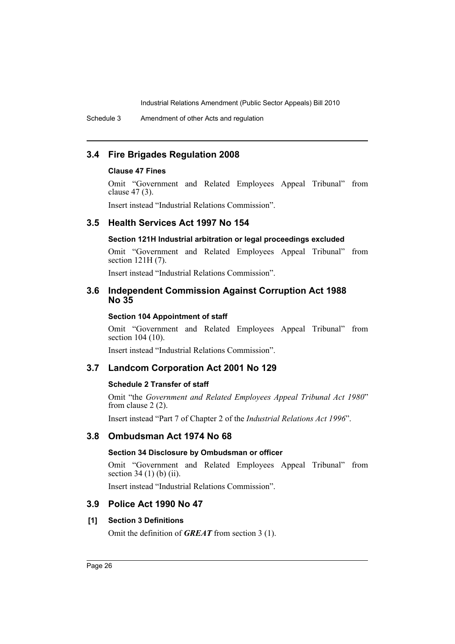Schedule 3 Amendment of other Acts and regulation

# **3.4 Fire Brigades Regulation 2008**

# **Clause 47 Fines**

Omit "Government and Related Employees Appeal Tribunal" from clause 47 (3).

Insert instead "Industrial Relations Commission".

# **3.5 Health Services Act 1997 No 154**

# **Section 121H Industrial arbitration or legal proceedings excluded**

Omit "Government and Related Employees Appeal Tribunal" from section 121H (7).

Insert instead "Industrial Relations Commission".

# **3.6 Independent Commission Against Corruption Act 1988 No 35**

# **Section 104 Appointment of staff**

Omit "Government and Related Employees Appeal Tribunal" from section 104 (10).

Insert instead "Industrial Relations Commission".

# **3.7 Landcom Corporation Act 2001 No 129**

# **Schedule 2 Transfer of staff**

Omit "the *Government and Related Employees Appeal Tribunal Act 1980*" from clause 2 (2).

Insert instead "Part 7 of Chapter 2 of the *Industrial Relations Act 1996*".

# **3.8 Ombudsman Act 1974 No 68**

# **Section 34 Disclosure by Ombudsman or officer**

Omit "Government and Related Employees Appeal Tribunal" from section 34 (1) (b) (ii).

Insert instead "Industrial Relations Commission".

# **3.9 Police Act 1990 No 47**

# **[1] Section 3 Definitions**

Omit the definition of *GREAT* from section 3 (1).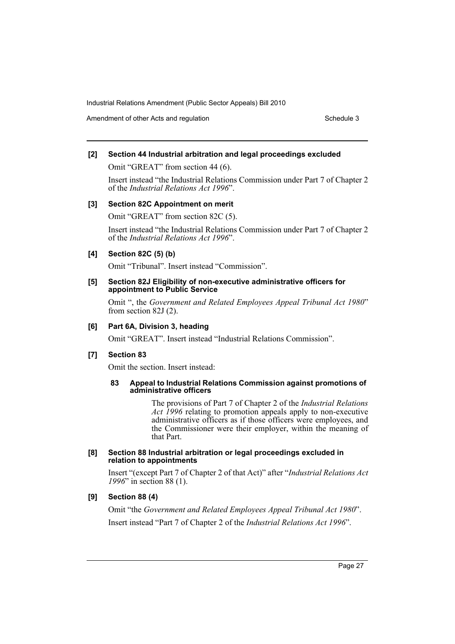Amendment of other Acts and regulation Schedule 3

### **[2] Section 44 Industrial arbitration and legal proceedings excluded**

Omit "GREAT" from section 44 (6).

Insert instead "the Industrial Relations Commission under Part 7 of Chapter 2 of the *Industrial Relations Act 1996*".

#### **[3] Section 82C Appointment on merit**

Omit "GREAT" from section 82C (5).

Insert instead "the Industrial Relations Commission under Part 7 of Chapter 2 of the *Industrial Relations Act 1996*".

#### **[4] Section 82C (5) (b)**

Omit "Tribunal". Insert instead "Commission".

#### **[5] Section 82J Eligibility of non-executive administrative officers for appointment to Public Service**

Omit ", the *Government and Related Employees Appeal Tribunal Act 1980*" from section 82J (2).

### **[6] Part 6A, Division 3, heading**

Omit "GREAT". Insert instead "Industrial Relations Commission".

#### **[7] Section 83**

Omit the section. Insert instead:

#### **83 Appeal to Industrial Relations Commission against promotions of administrative officers**

The provisions of Part 7 of Chapter 2 of the *Industrial Relations Act 1996* relating to promotion appeals apply to non-executive administrative officers as if those officers were employees, and the Commissioner were their employer, within the meaning of that Part.

#### **[8] Section 88 Industrial arbitration or legal proceedings excluded in relation to appointments**

Insert "(except Part 7 of Chapter 2 of that Act)" after "*Industrial Relations Act 1996*" in section 88 (1).

# **[9] Section 88 (4)**

Omit "the *Government and Related Employees Appeal Tribunal Act 1980*". Insert instead "Part 7 of Chapter 2 of the *Industrial Relations Act 1996*".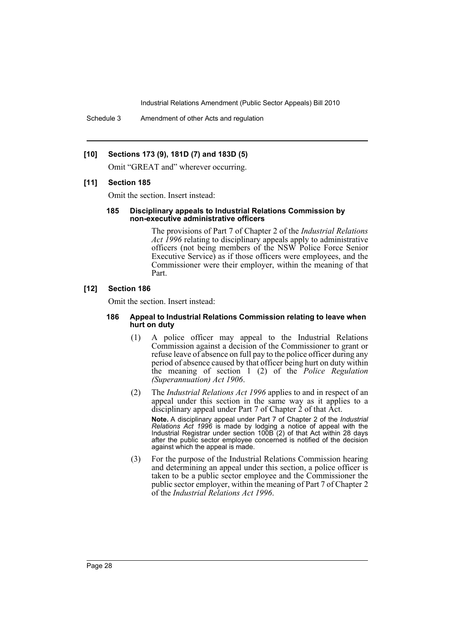Schedule 3 Amendment of other Acts and regulation

### **[10] Sections 173 (9), 181D (7) and 183D (5)**

Omit "GREAT and" wherever occurring.

# **[11] Section 185**

Omit the section. Insert instead:

#### **185 Disciplinary appeals to Industrial Relations Commission by non-executive administrative officers**

The provisions of Part 7 of Chapter 2 of the *Industrial Relations Act 1996* relating to disciplinary appeals apply to administrative officers (not being members of the NSW Police Force Senior Executive Service) as if those officers were employees, and the Commissioner were their employer, within the meaning of that Part.

#### **[12] Section 186**

Omit the section. Insert instead:

#### **186 Appeal to Industrial Relations Commission relating to leave when hurt on duty**

- (1) A police officer may appeal to the Industrial Relations Commission against a decision of the Commissioner to grant or refuse leave of absence on full pay to the police officer during any period of absence caused by that officer being hurt on duty within the meaning of section 1 (2) of the *Police Regulation (Superannuation) Act 1906*.
- (2) The *Industrial Relations Act 1996* applies to and in respect of an appeal under this section in the same way as it applies to a disciplinary appeal under Part 7 of Chapter 2 of that Act. **Note.** A disciplinary appeal under Part 7 of Chapter 2 of the *Industrial Relations Act 1996* is made by lodging a notice of appeal with the Industrial Registrar under section 100B (2) of that Act within 28 days after the public sector employee concerned is notified of the decision against which the appeal is made.
- (3) For the purpose of the Industrial Relations Commission hearing and determining an appeal under this section, a police officer is taken to be a public sector employee and the Commissioner the public sector employer, within the meaning of Part 7 of Chapter 2 of the *Industrial Relations Act 1996*.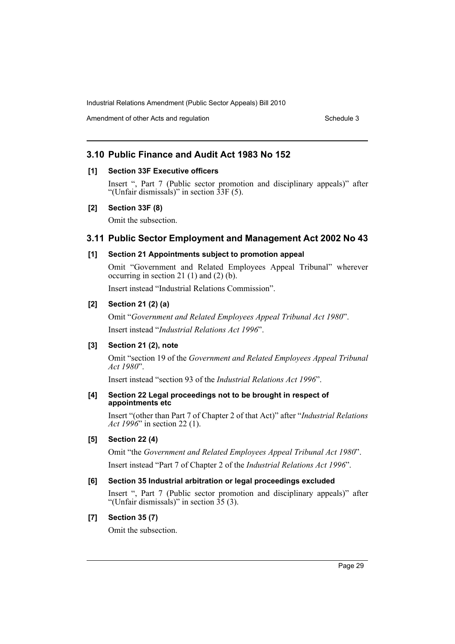Amendment of other Acts and regulation Schedule 3

# **3.10 Public Finance and Audit Act 1983 No 152**

# **[1] Section 33F Executive officers**

Insert ", Part 7 (Public sector promotion and disciplinary appeals)" after "(Unfair dismissals)" in section 33F (5).

### **[2] Section 33F (8)**

Omit the subsection.

# **3.11 Public Sector Employment and Management Act 2002 No 43**

### **[1] Section 21 Appointments subject to promotion appeal**

Omit "Government and Related Employees Appeal Tribunal" wherever occurring in section 21 (1) and (2) (b).

Insert instead "Industrial Relations Commission".

# **[2] Section 21 (2) (a)**

Omit "*Government and Related Employees Appeal Tribunal Act 1980*". Insert instead "*Industrial Relations Act 1996*".

# **[3] Section 21 (2), note**

Omit "section 19 of the *Government and Related Employees Appeal Tribunal Act 1980*".

Insert instead "section 93 of the *Industrial Relations Act 1996*".

#### **[4] Section 22 Legal proceedings not to be brought in respect of appointments etc**

Insert "(other than Part 7 of Chapter 2 of that Act)" after "*Industrial Relations Act 1996*" in section 22 (1).

# **[5] Section 22 (4)**

Omit "the *Government and Related Employees Appeal Tribunal Act 1980*".

Insert instead "Part 7 of Chapter 2 of the *Industrial Relations Act 1996*".

# **[6] Section 35 Industrial arbitration or legal proceedings excluded**

Insert ", Part 7 (Public sector promotion and disciplinary appeals)" after "(Unfair dismissals)" in section 35 (3).

# **[7] Section 35 (7)**

Omit the subsection.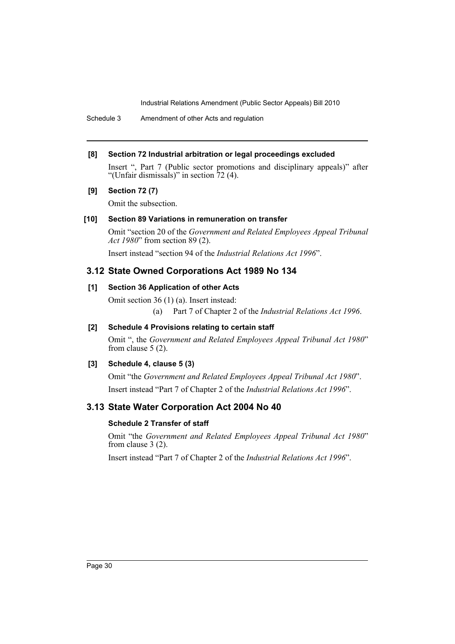Schedule 3 Amendment of other Acts and regulation

### **[8] Section 72 Industrial arbitration or legal proceedings excluded**

Insert ", Part 7 (Public sector promotions and disciplinary appeals)" after "(Unfair dismissals)" in section 72 (4).

# **[9] Section 72 (7)**

Omit the subsection.

# **[10] Section 89 Variations in remuneration on transfer**

Omit "section 20 of the *Government and Related Employees Appeal Tribunal Act 1980*" from section 89 (2).

Insert instead "section 94 of the *Industrial Relations Act 1996*".

# **3.12 State Owned Corporations Act 1989 No 134**

# **[1] Section 36 Application of other Acts**

Omit section 36 (1) (a). Insert instead:

(a) Part 7 of Chapter 2 of the *Industrial Relations Act 1996*.

# **[2] Schedule 4 Provisions relating to certain staff**

Omit ", the *Government and Related Employees Appeal Tribunal Act 1980*" from clause 5 (2).

# **[3] Schedule 4, clause 5 (3)**

Omit "the *Government and Related Employees Appeal Tribunal Act 1980*". Insert instead "Part 7 of Chapter 2 of the *Industrial Relations Act 1996*".

# **3.13 State Water Corporation Act 2004 No 40**

# **Schedule 2 Transfer of staff**

Omit "the *Government and Related Employees Appeal Tribunal Act 1980*" from clause 3 (2).

Insert instead "Part 7 of Chapter 2 of the *Industrial Relations Act 1996*".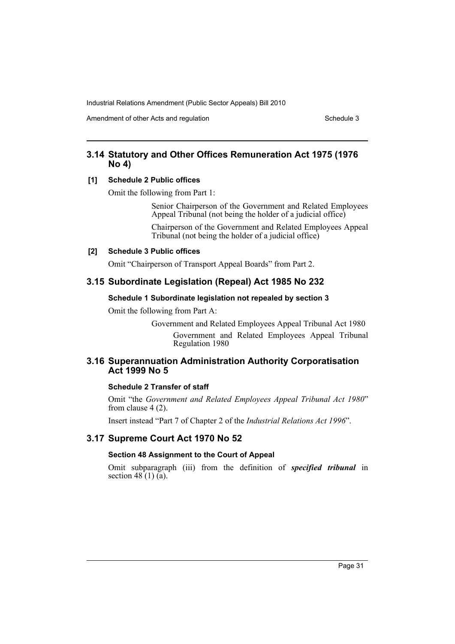Amendment of other Acts and regulation Schedule 3

# **3.14 Statutory and Other Offices Remuneration Act 1975 (1976 No 4)**

# **[1] Schedule 2 Public offices**

Omit the following from Part 1:

Senior Chairperson of the Government and Related Employees Appeal Tribunal (not being the holder of a judicial office)

Chairperson of the Government and Related Employees Appeal Tribunal (not being the holder of a judicial office)

### **[2] Schedule 3 Public offices**

Omit "Chairperson of Transport Appeal Boards" from Part 2.

# **3.15 Subordinate Legislation (Repeal) Act 1985 No 232**

# **Schedule 1 Subordinate legislation not repealed by section 3**

Omit the following from Part A:

Government and Related Employees Appeal Tribunal Act 1980 Government and Related Employees Appeal Tribunal Regulation 1980

# **3.16 Superannuation Administration Authority Corporatisation Act 1999 No 5**

# **Schedule 2 Transfer of staff**

Omit "the *Government and Related Employees Appeal Tribunal Act 1980*" from clause 4 (2).

Insert instead "Part 7 of Chapter 2 of the *Industrial Relations Act 1996*".

# **3.17 Supreme Court Act 1970 No 52**

# **Section 48 Assignment to the Court of Appeal**

Omit subparagraph (iii) from the definition of *specified tribunal* in section  $48(1)$  (a).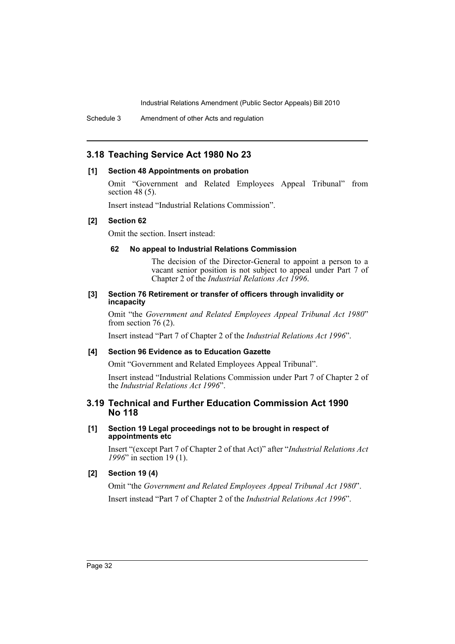Schedule 3 Amendment of other Acts and regulation

# **3.18 Teaching Service Act 1980 No 23**

#### **[1] Section 48 Appointments on probation**

Omit "Government and Related Employees Appeal Tribunal" from section 48 (5).

Insert instead "Industrial Relations Commission".

#### **[2] Section 62**

Omit the section. Insert instead:

#### **62 No appeal to Industrial Relations Commission**

The decision of the Director-General to appoint a person to a vacant senior position is not subject to appeal under Part 7 of Chapter 2 of the *Industrial Relations Act 1996*.

#### **[3] Section 76 Retirement or transfer of officers through invalidity or incapacity**

Omit "the *Government and Related Employees Appeal Tribunal Act 1980*" from section 76 (2).

Insert instead "Part 7 of Chapter 2 of the *Industrial Relations Act 1996*".

### **[4] Section 96 Evidence as to Education Gazette**

Omit "Government and Related Employees Appeal Tribunal".

Insert instead "Industrial Relations Commission under Part 7 of Chapter 2 of the *Industrial Relations Act 1996*".

# **3.19 Technical and Further Education Commission Act 1990 No 118**

#### **[1] Section 19 Legal proceedings not to be brought in respect of appointments etc**

Insert "(except Part 7 of Chapter 2 of that Act)" after "*Industrial Relations Act 1996*" in section 19 (1).

# **[2] Section 19 (4)**

Omit "the *Government and Related Employees Appeal Tribunal Act 1980*". Insert instead "Part 7 of Chapter 2 of the *Industrial Relations Act 1996*".